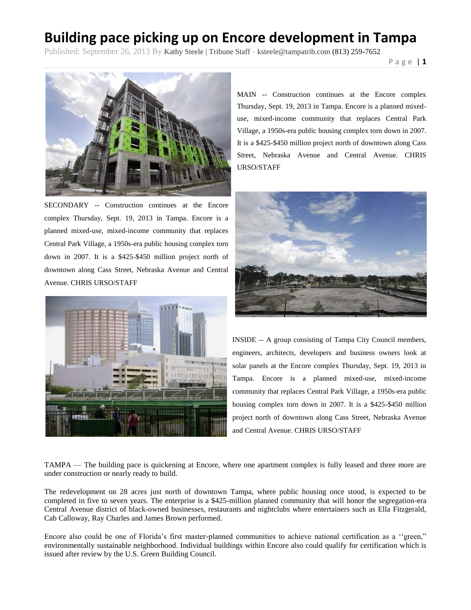## **Building pace picking up on Encore development in Tampa**

Published: September 26, 2013 By Kathy Steele | Tribune Staff - ksteele@tampatrib.com (813) 259-7652

P a g e | **1**



SECONDARY -- Construction continues at the Encore complex Thursday, Sept. 19, 2013 in Tampa. Encore is a planned mixed-use, mixed-income community that replaces Central Park Village, a 1950s-era public housing complex torn down in 2007. It is a \$425-\$450 million project north of downtown along Cass Street, Nebraska Avenue and Central Avenue. CHRIS URSO/STAFF



MAIN -- Construction continues at the Encore complex Thursday, Sept. 19, 2013 in Tampa. Encore is a planned mixeduse, mixed-income community that replaces Central Park Village, a 1950s-era public housing complex torn down in 2007. It is a \$425-\$450 million project north of downtown along Cass Street, Nebraska Avenue and Central Avenue. CHRIS URSO/STAFF



INSIDE -- A group consisting of Tampa City Council members, engineers, architects, developers and business owners look at solar panels at the Encore complex Thursday, Sept. 19, 2013 in Tampa. Encore is a planned mixed-use, mixed-income community that replaces Central Park Village, a 1950s-era public housing complex torn down in 2007. It is a \$425-\$450 million project north of downtown along Cass Street, Nebraska Avenue and Central Avenue. CHRIS URSO/STAFF

TAMPA — The building pace is quickening at Encore, where one apartment complex is fully leased and three more are under construction or nearly ready to build.

The redevelopment on 28 acres just north of downtown Tampa, where public housing once stood, is expected to be completed in five to seven years. The enterprise is a \$425-million planned community that will honor the segregation-era Central Avenue district of black-owned businesses, restaurants and nightclubs where entertainers such as Ella Fitzgerald, Cab Calloway, Ray Charles and James Brown performed.

Encore also could be one of Florida's first master-planned communities to achieve national certification as a ''green," environmentally sustainable neighborhood. Individual buildings within Encore also could qualify for certification which is issued after review by the U.S. Green Building Council.